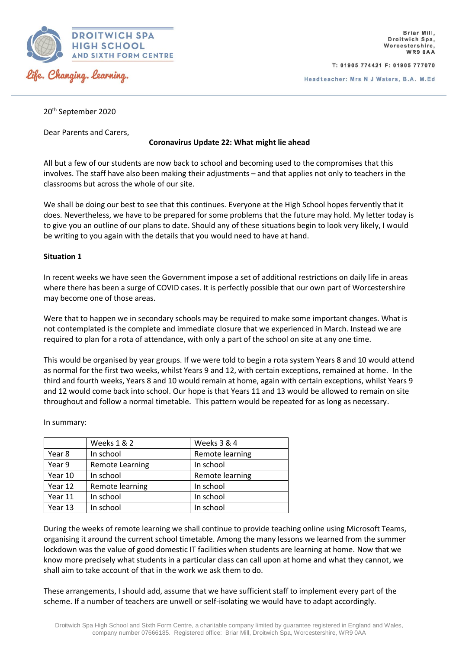

T: 01905 774421 F: 01905 777070

Headteacher: Mrs N J Waters, B.A. M.Ed

20th September 2020

Dear Parents and Carers,

# **Coronavirus Update 22: What might lie ahead**

All but a few of our students are now back to school and becoming used to the compromises that this involves. The staff have also been making their adjustments – and that applies not only to teachers in the classrooms but across the whole of our site.

We shall be doing our best to see that this continues. Everyone at the High School hopes fervently that it does. Nevertheless, we have to be prepared for some problems that the future may hold. My letter today is to give you an outline of our plans to date. Should any of these situations begin to look very likely, I would be writing to you again with the details that you would need to have at hand.

## **Situation 1**

In recent weeks we have seen the Government impose a set of additional restrictions on daily life in areas where there has been a surge of COVID cases. It is perfectly possible that our own part of Worcestershire may become one of those areas.

Were that to happen we in secondary schools may be required to make some important changes. What is not contemplated is the complete and immediate closure that we experienced in March. Instead we are required to plan for a rota of attendance, with only a part of the school on site at any one time.

This would be organised by year groups. If we were told to begin a rota system Years 8 and 10 would attend as normal for the first two weeks, whilst Years 9 and 12, with certain exceptions, remained at home. In the third and fourth weeks, Years 8 and 10 would remain at home, again with certain exceptions, whilst Years 9 and 12 would come back into school. Our hope is that Years 11 and 13 would be allowed to remain on site throughout and follow a normal timetable. This pattern would be repeated for as long as necessary.

In summary:

|         | <b>Weeks 1 &amp; 2</b> | Weeks 3 & 4     |
|---------|------------------------|-----------------|
| Year 8  | In school              | Remote learning |
| Year 9  | <b>Remote Learning</b> | In school       |
| Year 10 | In school              | Remote learning |
| Year 12 | Remote learning        | In school       |
| Year 11 | In school              | In school       |
| Year 13 | In school              | In school       |

During the weeks of remote learning we shall continue to provide teaching online using Microsoft Teams, organising it around the current school timetable. Among the many lessons we learned from the summer lockdown was the value of good domestic IT facilities when students are learning at home. Now that we know more precisely what students in a particular class can call upon at home and what they cannot, we shall aim to take account of that in the work we ask them to do.

These arrangements, I should add, assume that we have sufficient staff to implement every part of the scheme. If a number of teachers are unwell or self-isolating we would have to adapt accordingly.